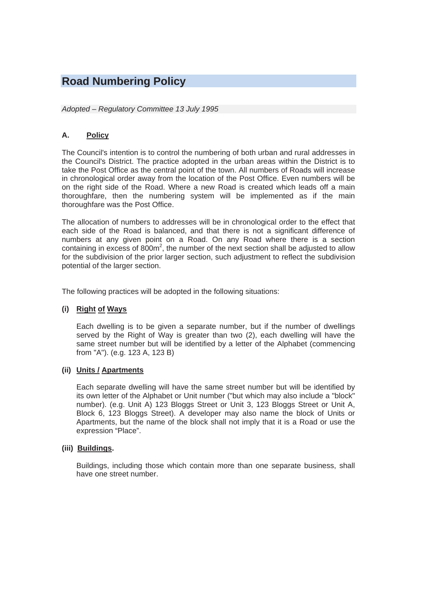# **Road Numbering Policy**

#### *Adopted – Regulatory Committee 13 July 1995*

## **A. Policy**

The Council's intention is to control the numbering of both urban and rural addresses in the Council's District. The practice adopted in the urban areas within the District is to take the Post Office as the central point of the town. All numbers of Roads will increase in chronological order away from the location of the Post Office. Even numbers will be on the right side of the Road. Where a new Road is created which leads off a main thoroughfare, then the numbering system will be implemented as if the main thoroughfare was the Post Office.

The allocation of numbers to addresses will be in chronological order to the effect that each side of the Road is balanced, and that there is not a significant difference of numbers at any given point on a Road. On any Road where there is a section containing in excess of  $800m^2$ , the number of the next section shall be adjusted to allow for the subdivision of the prior larger section, such adjustment to reflect the subdivision potential of the larger section.

The following practices will be adopted in the following situations:

#### **(i) Right of Ways**

Each dwelling is to be given a separate number, but if the number of dwellings served by the Right of Way is greater than two (2), each dwelling will have the same street number but will be identified by a letter of the Alphabet (commencing from "A"). (e.g. 123 A, 123 B)

#### **(ii) Units / Apartments**

Each separate dwelling will have the same street number but will be identified by its own letter of the Alphabet or Unit number ("but which may also include a "block" number). (e.g. Unit A) 123 Bloggs Street or Unit 3, 123 Bloggs Street or Unit A, Block 6, 123 Bloggs Street). A developer may also name the block of Units or Apartments, but the name of the block shall not imply that it is a Road or use the expression "Place".

#### **(iii) Buildings.**

Buildings, including those which contain more than one separate business, shall have one street number.